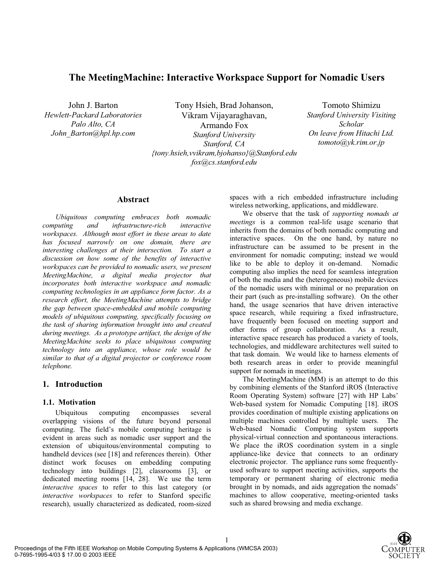# **The MeetingMachine: Interactive Workspace Support for Nomadic Users**

John J. Barton *Hewlett-Packard Laboratories Palo Alto, CA John\_Barton@hpl.hp.com*

Tony Hsieh, Brad Johanson, Vikram Vijayaraghavan, Armando Fox *Stanford University Stanford, CA {tony.hsieh,vvikram,bjohanso}@Stanford.edu fox@cs.stanford.edu*

Tomoto Shimizu

*Stanford University Visiting Scholar On leave from Hitachi Ltd. tomoto@yk.rim.or.jp*

## **Abstract**

*Ubiquitous computing embraces both nomadic computing and infrastructure-rich interactive workspaces. Although most effort in these areas to date has focused narrowly on one domain, there are interesting challenges at their intersection. To start a discussion on how some of the benefits of interactive workspaces can be provided to nomadic users, we present MeetingMachine, a digital media projector that incorporates both interactive workspace and nomadic computing technologies in an appliance form factor. As a research effort, the MeetingMachine attempts to bridge the gap between space-embedded and mobile computing models of ubiquitous computing, specifically focusing on the task of sharing information brought into and created during meetings. As a prototype artifact, the design of the MeetingMachine seeks to place ubiquitous computing technology into an appliance, whose role would be similar to that of a digital projector or conference room telephone.* 

## **1. Introduction**

## **1.1. Motivation**

Ubiquitous computing encompasses several overlapping visions of the future beyond personal computing. The field's mobile computing heritage is evident in areas such as nomadic user support and the extension of ubiquitous/environmental computing to handheld devices (see [18] and references therein). Other distinct work focuses on embedding computing technology into buildings [2], classrooms [3], or dedicated meeting rooms [14, 28]. We use the term *interactive spaces* to refer to this last category (or *interactive workspaces* to refer to Stanford specific research), usually characterized as dedicated, room-sized spaces with a rich embedded infrastructure including wireless networking, applications, and middleware.

We observe that the task of *supporting nomads at meetings* is a common real-life usage scenario that inherits from the domains of both nomadic computing and interactive spaces. On the one hand, by nature no infrastructure can be assumed to be present in the environment for nomadic computing; instead we would like to be able to deploy it on-demand. Nomadic computing also implies the need for seamless integration of both the media and the (heterogeneous) mobile devices of the nomadic users with minimal or no preparation on their part (such as pre-installing software). On the other hand, the usage scenarios that have driven interactive space research, while requiring a fixed infrastructure, have frequently been focused on meeting support and other forms of group collaboration. As a result, interactive space research has produced a variety of tools, technologies, and middleware architectures well suited to that task domain. We would like to harness elements of both research areas in order to provide meaningful support for nomads in meetings.

The MeetingMachine (MM) is an attempt to do this by combining elements of the Stanford iROS (Interactive Room Operating System) software [27] with HP Labs' Web-based system for Nomadic Computing [18]. iROS provides coordination of multiple existing applications on multiple machines controlled by multiple users. The Web-based Nomadic Computing system supports physical-virtual connection and spontaneous interactions. We place the iROS coordination system in a single appliance-like device that connects to an ordinary electronic projector. The appliance runs some frequentlyused software to support meeting activities, supports the temporary or permanent sharing of electronic media brought in by nomads, and aids aggregation the nomads' machines to allow cooperative, meeting-oriented tasks such as shared browsing and media exchange.

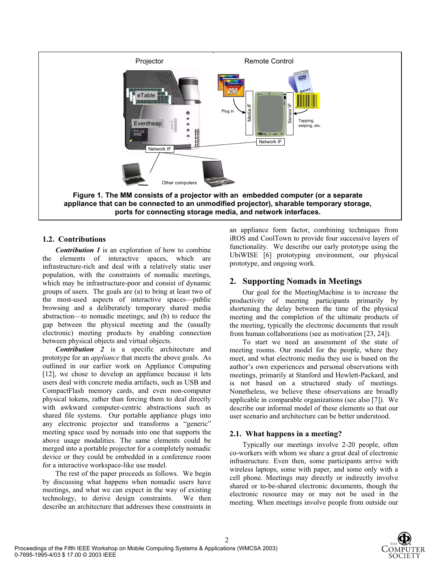

## **1.2. Contributions**

*Contribution 1* is an exploration of how to combine the elements of interactive spaces, which are infrastructure-rich and deal with a relatively static user population, with the constraints of nomadic meetings, which may be infrastructure-poor and consist of dynamic groups of users. The goals are (a) to bring at least two of the most-used aspects of interactive spaces—public browsing and a deliberately temporary shared media abstraction—to nomadic meetings; and (b) to reduce the gap between the physical meeting and the (usually electronic) meeting products by enabling connection between physical objects and virtual objects.

*Contribution 2* is a specific architecture and prototype for an *appliance* that meets the above goals. As outlined in our earlier work on Appliance Computing [12], we chose to develop an appliance because it lets users deal with concrete media artifacts, such as USB and CompactFlash memory cards, and even non-computer physical tokens, rather than forcing them to deal directly with awkward computer-centric abstractions such as shared file systems. Our portable appliance plugs into any electronic projector and transforms a "generic" meeting space used by nomads into one that supports the above usage modalities. The same elements could be merged into a portable projector for a completely nomadic device or they could be embedded in a conference room for a interactive workspace-like use model.

The rest of the paper proceeds as follows. We begin by discussing what happens when nomadic users have meetings, and what we can expect in the way of existing technology, to derive design constraints. We then describe an architecture that addresses these constraints in an appliance form factor, combining techniques from iROS and CoolTown to provide four successive layers of functionality. We describe our early prototype using the UbiWISE [6] prototyping environment, our physical prototype, and ongoing work.

# **2. Supporting Nomads in Meetings**

Our goal for the MeetingMachine is to increase the productivity of meeting participants primarily by shortening the delay between the time of the physical meeting and the completion of the ultimate products of the meeting, typically the electronic documents that result from human collaborations (see as motivation [23, 24]).

To start we need an assessment of the state of meeting rooms. Our model for the people, where they meet, and what electronic media they use is based on the author's own experiences and personal observations with meetings, primarily at Stanford and Hewlett-Packard, and is not based on a structured study of meetings. Nonetheless, we believe these observations are broadly applicable in comparable organizations (see also [7]). We describe our informal model of these elements so that our user scenario and architecture can be better understood.

## **2.1. What happens in a meeting?**

 $\mathfrak{D}$ 

Typically our meetings involve 2-20 people, often co-workers with whom we share a great deal of electronic infrastructure. Even then, some participants arrive with wireless laptops, some with paper, and some only with a cell phone. Meetings may directly or indirectly involve shared or to-be-shared electronic documents, though the electronic resource may or may not be used in the meeting. When meetings involve people from outside our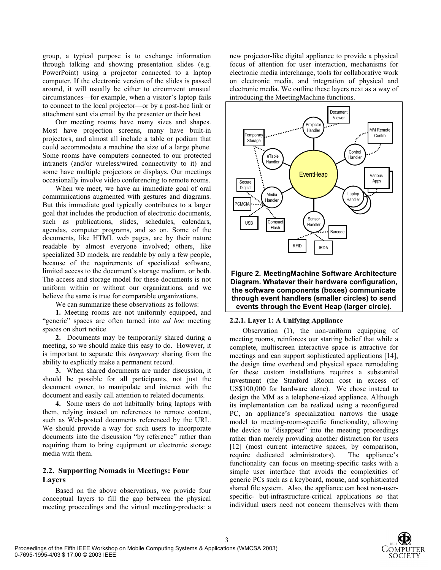group, a typical purpose is to exchange information through talking and showing presentation slides (e.g. PowerPoint) using a projector connected to a laptop computer. If the electronic version of the slides is passed around, it will usually be either to circumvent unusual circumstances—for example, when a visitor's laptop fails to connect to the local projector—or by a post-hoc link or attachment sent via email by the presenter or their host

Our meeting rooms have many sizes and shapes. Most have projection screens, many have built-in projectors, and almost all include a table or podium that could accommodate a machine the size of a large phone. Some rooms have computers connected to our protected intranets (and/or wireless/wired connectivity to it) and some have multiple projectors or displays. Our meetings occasionally involve video conferencing to remote rooms.

When we meet, we have an immediate goal of oral communications augmented with gestures and diagrams. But this immediate goal typically contributes to a larger goal that includes the production of electronic documents, such as publications, slides, schedules, calendars, agendas, computer programs, and so on. Some of the documents, like HTML web pages, are by their nature readable by almost everyone involved; others, like specialized 3D models, are readable by only a few people, because of the requirements of specialized software, limited access to the document's storage medium, or both. The access and storage model for these documents is not uniform within or without our organizations, and we believe the same is true for comparable organizations.

We can summarize these observations as follows:

**1.** Meeting rooms are not uniformly equipped, and "generic" spaces are often turned into *ad hoc* meeting spaces on short notice.

**2.** Documents may be temporarily shared during a meeting, so we should make this easy to do. However, it is important to separate this *temporary* sharing from the ability to explicitly make a permanent record.

**3.** When shared documents are under discussion, it should be possible for all participants, not just the document owner, to manipulate and interact with the document and easily call attention to related documents.

**4.** Some users do not habitually bring laptops with them, relying instead on references to remote content, such as Web-posted documents referenced by the URL. We should provide a way for such users to incorporate documents into the discussion "by reference" rather than requiring them to bring equipment or electronic storage media with them.

## **2.2. Supporting Nomads in Meetings: Four Layers**

Based on the above observations, we provide four conceptual layers to fill the gap between the physical meeting proceedings and the virtual meeting-products: a new projector-like digital appliance to provide a physical focus of attention for user interaction, mechanisms for electronic media interchange, tools for collaborative work on electronic media, and integration of physical and electronic media. We outline these layers next as a way of introducing the MeetingMachine functions.



**Figure 2. MeetingMachine Software Architecture Diagram. Whatever their hardware configuration, the software components (boxes) communicate through event handlers (smaller circles) to send events through the Event Heap (larger circle).** 

#### **2.2.1. Layer 1: A Unifying Appliance**

Observation (1), the non-uniform equipping of meeting rooms, reinforces our starting belief that while a complete, multiscreen interactive space is attractive for meetings and can support sophisticated applications [14], the design time overhead and physical space remodeling for these custom installations requires a substantial investment (the Stanford iRoom cost in excess of US\$100,000 for hardware alone). We chose instead to design the MM as a telephone-sized appliance. Although its implementation can be realized using a reconfigured PC, an appliance's specialization narrows the usage model to meeting-room-specific functionality, allowing the device to "disappear" into the meeting proceedings rather than merely providing another distraction for users [12] (most current interactive spaces, by comparison, require dedicated administrators). The appliance's require dedicated administrators). functionality can focus on meeting-specific tasks with a simple user interface that avoids the complexities of generic PCs such as a keyboard, mouse, and sophisticated shared file system. Also, the appliance can host non-userspecific- but-infrastructure-critical applications so that individual users need not concern themselves with them

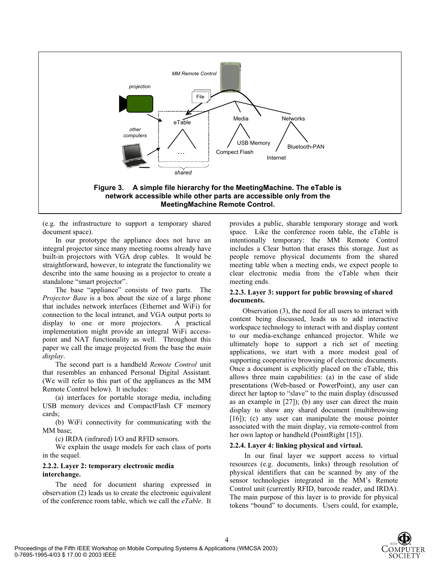

(e.g. the infrastructure to support a temporary shared document space).

In our prototype the appliance does not have an integral projector since many meeting rooms already have built-in projectors with VGA drop cables. It would be straightforward, however, to integrate the functionality we describe into the same housing as a projector to create a standalone "smart projector".

The base "appliance" consists of two parts. The *Projector Base* is a box about the size of a large phone that includes network interfaces (Ethernet and WiFi) for connection to the local intranet, and VGA output ports to display to one or more projectors. A practical implementation might provide an integral WiFi accesspoint and NAT functionality as well. Throughout this paper we call the image projected from the base the *main display*.

The second part is a handheld *Remote Control* unit that resembles an enhanced Personal Digital Assistant. (We will refer to this part of the appliances as the MM Remote Control below). It includes:

(a) interfaces for portable storage media, including USB memory devices and CompactFlash CF memory cards;

(b) WiFi connectivity for communicating with the MM base;

(c) IRDA (infrared) I/O and RFID sensors.

We explain the usage models for each class of ports in the sequel.

#### **2.2.2. Layer 2: temporary electronic media interchange.**

The need for document sharing expressed in observation (2) leads us to create the electronic equivalent of the conference room table, which we call the *eTable*. It provides a public, sharable temporary storage and work space. Like the conference room table, the eTable is intentionally temporary: the MM Remote Control includes a Clear button that erases this storage. Just as people remove physical documents from the shared meeting table when a meeting ends, we expect people to clear electronic media from the eTable when their meeting ends.

#### **2.2.3. Layer 3: support for public browsing of shared documents.**

Observation (3), the need for all users to interact with content being discussed, leads us to add interactive workspace technology to interact with and display content to our media-exchange enhanced projector. While we ultimately hope to support a rich set of meeting applications, we start with a more modest goal of supporting cooperative browsing of electronic documents. Once a document is explicitly placed on the eTable, this allows three main capabilities: (a) in the case of slide presentations (Web-based or PowerPoint), any user can direct her laptop to "slave" to the main display (discussed as an example in [27]); (b) any user can direct the main display to show any shared document (multibrowsing [16]); (c) any user can manipulate the mouse pointer associated with the main display, via remote-control from her own laptop or handheld (PointRight [15]).

## **2.2.4. Layer 4: linking physical and virtual.**

 In our final layer we support access to virtual resources (e.g. documents, links) through resolution of physical identifiers that can be scanned by any of the sensor technologies integrated in the MM's Remote Control unit (currently RFID, barcode reader, and IRDA). The main purpose of this layer is to provide for physical tokens "bound" to documents. Users could, for example,

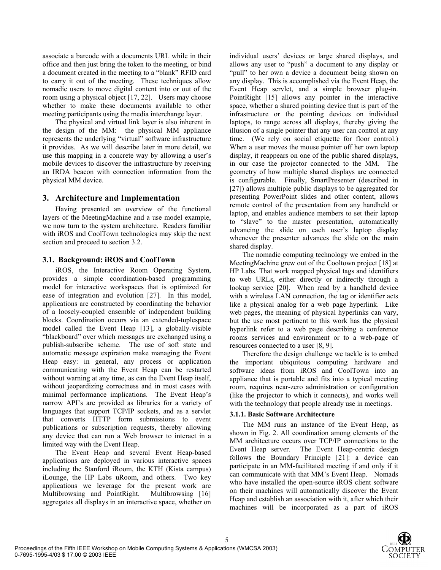associate a barcode with a documents URL while in their office and then just bring the token to the meeting, or bind a document created in the meeting to a "blank" RFID card to carry it out of the meeting. These techniques allow nomadic users to move digital content into or out of the room using a physical object [17, 22]. Users may choose whether to make these documents available to other meeting participants using the media interchange layer.

The physical and virtual link layer is also inherent in the design of the MM: the physical MM appliance represents the underlying "virtual" software infrastructure it provides. As we will describe later in more detail, we use this mapping in a concrete way by allowing a user's mobile devices to discover the infrastructure by receiving an IRDA beacon with connection information from the physical MM device.

## **3. Architecture and Implementation**

Having presented an overview of the functional layers of the MeetingMachine and a use model example, we now turn to the system architecture. Readers familiar with iROS and CoolTown technologies may skip the next section and proceed to section 3.2.

## **3.1. Background: iROS and CoolTown**

iROS, the Interactive Room Operating System, provides a simple coordination-based programming model for interactive workspaces that is optimized for ease of integration and evolution [27]. In this model, applications are constructed by coordinating the behavior of a loosely-coupled ensemble of independent building blocks. Coordination occurs via an extended-tuplespace model called the Event Heap [13], a globally-visible "blackboard" over which messages are exchanged using a publish-subscribe scheme. The use of soft state and automatic message expiration make managing the Event Heap easy: in general, any process or application communicating with the Event Heap can be restarted without warning at any time, as can the Event Heap itself, without jeopardizing correctness and in most cases with minimal performance implications. The Event Heap's narrow API's are provided as libraries for a variety of languages that support TCP/IP sockets, and as a servlet that converts HTTP form submissions to event publications or subscription requests, thereby allowing any device that can run a Web browser to interact in a limited way with the Event Heap.

The Event Heap and several Event Heap-based applications are deployed in various interactive spaces including the Stanford iRoom, the KTH (Kista campus) iLounge, the HP Labs uRoom, and others. Two key applications we leverage for the present work are Multibrowsing and PointRight. Multibrowsing [16] aggregates all displays in an interactive space, whether on individual users' devices or large shared displays, and allows any user to "push" a document to any display or "pull" to her own a device a document being shown on any display. This is accomplished via the Event Heap, the Event Heap servlet, and a simple browser plug-in. PointRight [15] allows any pointer in the interactive space, whether a shared pointing device that is part of the infrastructure or the pointing devices on individual laptops, to range across all displays, thereby giving the illusion of a single pointer that any user can control at any time. (We rely on social etiquette for floor control.) When a user moves the mouse pointer off her own laptop display, it reappears on one of the public shared displays, in our case the projector connected to the MM. The geometry of how multiple shared displays are connected is configurable. Finally, SmartPresenter (described in [27]) allows multiple public displays to be aggregated for presenting PowerPoint slides and other content, allows remote control of the presentation from any handheld or laptop, and enables audience members to set their laptop to "slave" to the master presentation, automatically advancing the slide on each user's laptop display whenever the presenter advances the slide on the main shared display.

The nomadic computing technology we embed in the MeetingMachine grew out of the Cooltown project [18] at HP Labs. That work mapped physical tags and identifiers to web URLs, either directly or indirectly through a lookup service [20]. When read by a handheld device with a wireless LAN connection, the tag or identifier acts like a physical analog for a web page hyperlink. Like web pages, the meaning of physical hyperlinks can vary, but the use most pertinent to this work has the physical hyperlink refer to a web page describing a conference rooms services and environment or to a web-page of resources connected to a user [8, 9].

Therefore the design challenge we tackle is to embed the important ubiquitous computing hardware and software ideas from iROS and CoolTown into an appliance that is portable and fits into a typical meeting room, requires near-zero administration or configuration (like the projector to which it connects), and works well with the technology that people already use in meetings.

## **3.1.1. Basic Software Architecture**

5

The MM runs an instance of the Event Heap, as shown in Fig. 2. All coordination among elements of the MM architecture occurs over TCP/IP connections to the Event Heap server. The Event Heap-centric design follows the Boundary Principle [21]: a device can participate in an MM-facilitated meeting if and only if it can communicate with that MM's Event Heap. Nomads who have installed the open-source iROS client software on their machines will automatically discover the Event Heap and establish an association with it, after which their machines will be incorporated as a part of iROS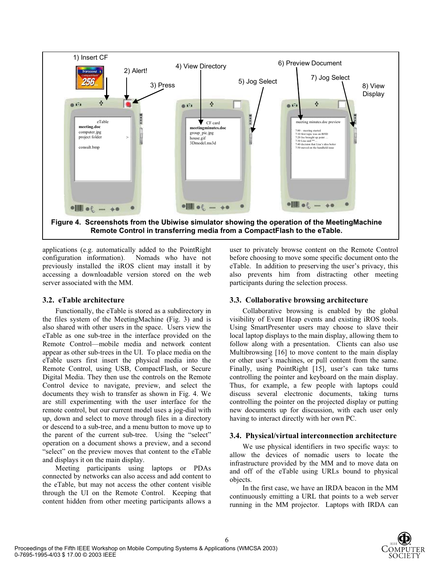

applications (e.g. automatically added to the PointRight configuration information). Nomads who have not previously installed the iROS client may install it by accessing a downloadable version stored on the web server associated with the MM.

## **3.2. eTable architecture**

Functionally, the eTable is stored as a subdirectory in the files system of the MeetingMachine (Fig. 3) and is also shared with other users in the space. Users view the eTable as one sub-tree in the interface provided on the Remote Control—mobile media and network content appear as other sub-trees in the UI. To place media on the eTable users first insert the physical media into the Remote Control, using USB, CompactFlash, or Secure Digital Media. They then use the controls on the Remote Control device to navigate, preview, and select the documents they wish to transfer as shown in Fig. 4. We are still experimenting with the user interface for the remote control, but our current model uses a jog-dial with up, down and select to move through files in a directory or descend to a sub-tree, and a menu button to move up to the parent of the current sub-tree. Using the "select" operation on a document shows a preview, and a second "select" on the preview moves that content to the eTable and displays it on the main display.

Meeting participants using laptops or PDAs connected by networks can also access and add content to the eTable, but may not access the other content visible through the UI on the Remote Control. Keeping that content hidden from other meeting participants allows a user to privately browse content on the Remote Control before choosing to move some specific document onto the eTable. In addition to preserving the user's privacy, this also prevents him from distracting other meeting participants during the selection process.

#### **3.3. Collaborative browsing architecture**

Collaborative browsing is enabled by the global visibility of Event Heap events and existing iROS tools. Using SmartPresenter users may choose to slave their local laptop displays to the main display, allowing them to follow along with a presentation. Clients can also use Multibrowsing [16] to move content to the main display or other user's machines, or pull content from the same. Finally, using PointRight [15], user's can take turns controlling the pointer and keyboard on the main display. Thus, for example, a few people with laptops could discuss several electronic documents, taking turns controlling the pointer on the projected display or putting new documents up for discussion, with each user only having to interact directly with her own PC.

#### **3.4. Physical/virtual interconnection architecture**

We use physical identifiers in two specific ways: to allow the devices of nomadic users to locate the infrastructure provided by the MM and to move data on and off of the eTable using URLs bound to physical objects.

In the first case, we have an IRDA beacon in the MM continuously emitting a URL that points to a web server running in the MM projector. Laptops with IRDA can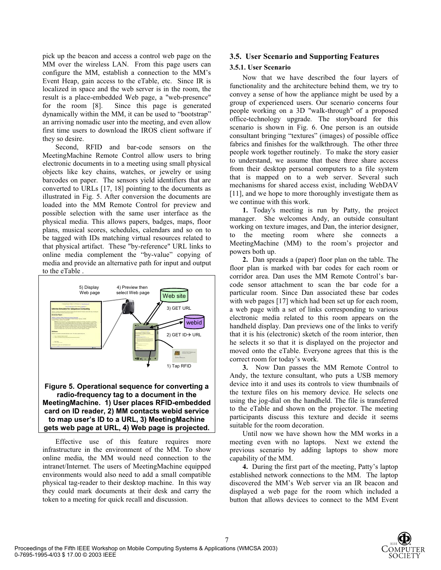pick up the beacon and access a control web page on the MM over the wireless LAN. From this page users can configure the MM, establish a connection to the MM's Event Heap, gain access to the eTable, etc. Since IR is localized in space and the web server is in the room, the result is a place-embedded Web page, a "web-presence" for the room [8]. Since this page is generated dynamically within the MM, it can be used to "bootstrap" an arriving nomadic user into the meeting, and even allow first time users to download the IROS client software if they so desire.

Second, RFID and bar-code sensors on the MeetingMachine Remote Control allow users to bring electronic documents in to a meeting using small physical objects like key chains, watches, or jewelry or using barcodes on paper. The sensors yield identifiers that are converted to URLs [17, 18] pointing to the documents as illustrated in Fig. 5. After conversion the documents are loaded into the MM Remote Control for preview and possible selection with the same user interface as the physical media. This allows papers, badges, maps, floor plans, musical scores, schedules, calendars and so on to be tagged with IDs matching virtual resources related to that physical artifact. These "by-reference" URL links to online media complement the "by-value" copying of media and provide an alternative path for input and output to the eTable .



## **Figure 5. Operational sequence for converting a radio-frequency tag to a document in the MeetingMachine. 1) User places RFID-embedded card on ID reader, 2) MM contacts webid service to map user's ID to a URL, 3) MeetingMachine gets web page at URL, 4) Web page is projected.**

Effective use of this feature requires more infrastructure in the environment of the MM. To show online media, the MM would need connection to the intranet/Internet. The users of MeetingMachine equipped environments would also need to add a small compatible physical tag-reader to their desktop machine. In this way they could mark documents at their desk and carry the token to a meeting for quick recall and discussion.

# **3.5. User Scenario and Supporting Features**

## **3.5.1. User Scenario**

Now that we have described the four layers of functionality and the architecture behind them, we try to convey a sense of how the appliance might be used by a group of experienced users. Our scenario concerns four people working on a 3D "walk-through" of a proposed office-technology upgrade. The storyboard for this scenario is shown in Fig. 6. One person is an outside consultant bringing "textures" (images) of possible office fabrics and finishes for the walkthrough. The other three people work together routinely. To make the story easier to understand, we assume that these three share access from their desktop personal computers to a file system that is mapped on to a web server. Several such mechanisms for shared access exist, including WebDAV [11], and we hope to more thoroughly investigate them as we continue with this work.

**1.** Today's meeting is run by Patty, the project manager. She welcomes Andy, an outside consultant working on texture images, and Dan, the interior designer, to the meeting room where she connects a MeetingMachine (MM) to the room's projector and powers both up.

**2.** Dan spreads a (paper) floor plan on the table. The floor plan is marked with bar codes for each room or corridor area. Dan uses the MM Remote Control's barcode sensor attachment to scan the bar code for a particular room. Since Dan associated these bar codes with web pages [17] which had been set up for each room, a web page with a set of links corresponding to various electronic media related to this room appears on the handheld display. Dan previews one of the links to verify that it is his (electronic) sketch of the room interior, then he selects it so that it is displayed on the projector and moved onto the eTable. Everyone agrees that this is the correct room for today's work.

**3.** Now Dan passes the MM Remote Control to Andy, the texture consultant, who puts a USB memory device into it and uses its controls to view thumbnails of the texture files on his memory device. He selects one using the jog-dial on the handheld. The file is transferred to the eTable and shown on the projector. The meeting participants discuss this texture and decide it seems suitable for the room decoration.

Until now we have shown how the MM works in a meeting even with no laptops. Next we extend the previous scenario by adding laptops to show more capability of the MM.

**4.** During the first part of the meeting, Patty's laptop established network connections to the MM. The laptop discovered the MM's Web server via an IR beacon and displayed a web page for the room which included a button that allows devices to connect to the MM Event

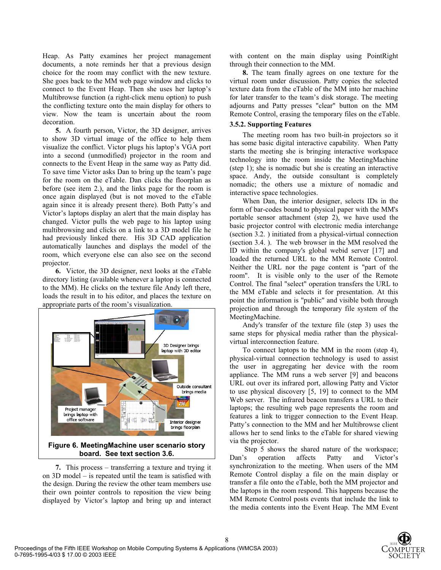Heap. As Patty examines her project management documents, a note reminds her that a previous design choice for the room may conflict with the new texture. She goes back to the MM web page window and clicks to connect to the Event Heap. Then she uses her laptop's Multibrowse function (a right-click menu option) to push the conflicting texture onto the main display for others to view. Now the team is uncertain about the room decoration.

**5.** A fourth person, Victor, the 3D designer, arrives to show 3D virtual image of the office to help them visualize the conflict. Victor plugs his laptop's VGA port into a second (unmodified) projector in the room and connects to the Event Heap in the same way as Patty did. To save time Victor asks Dan to bring up the team's page for the room on the eTable. Dan clicks the floorplan as before (see item 2.), and the links page for the room is once again displayed (but is not moved to the eTable again since it is already present there). Both Patty's and Victor's laptops display an alert that the main display has changed. Victor pulls the web page to his laptop using multibrowsing and clicks on a link to a 3D model file he had previously linked there. His 3D CAD application automatically launches and displays the model of the room, which everyone else can also see on the second projector.

**6.** Victor, the 3D designer, next looks at the eTable directory listing (available whenever a laptop is connected to the MM). He clicks on the texture file Andy left there, loads the result in to his editor, and places the texture on appropriate parts of the room's visualization.



**7.** This process – transferring a texture and trying it on 3D model – is repeated until the team is satisfied with the design. During the review the other team members use their own pointer controls to reposition the view being displayed by Victor's laptop and bring up and interact

**board. See text section 3.6.** 

with content on the main display using PointRight through their connection to the MM.

**8.** The team finally agrees on one texture for the virtual room under discussion. Patty copies the selected texture data from the eTable of the MM into her machine for later transfer to the team's disk storage. The meeting adjourns and Patty presses "clear" button on the MM Remote Control, erasing the temporary files on the eTable.

#### **3.5.2. Supporting Features**

The meeting room has two built-in projectors so it has some basic digital interactive capability. When Patty starts the meeting she is bringing interactive workspace technology into the room inside the MeetingMachine (step 1); she is nomadic but she is creating an interactive space. Andy, the outside consultant is completely nomadic; the others use a mixture of nomadic and interactive space technologies.

When Dan, the interior designer, selects IDs in the form of bar-codes bound to physical paper with the MM's portable sensor attachment (step 2), we have used the basic projector control with electronic media interchange (section 3.2. ) initiated from a physical-virtual connection (section 3.4. ). The web browser in the MM resolved the ID within the company's global webid server [17] and loaded the returned URL to the MM Remote Control. Neither the URL nor the page content is "part of the room". It is visible only to the user of the Remote Control. The final "select" operation transfers the URL to the MM eTable and selects it for presentation. At this point the information is "public" and visible both through projection and through the temporary file system of the MeetingMachine.

Andy's transfer of the texture file (step 3) uses the same steps for physical media rather than the physicalvirtual interconnection feature.

To connect laptops to the MM in the room (step 4), physical-virtual connection technology is used to assist the user in aggregating her device with the room appliance. The MM runs a web server [9] and beacons URL out over its infrared port, allowing Patty and Victor to use physical discovery [5, 19] to connect to the MM Web server. The infrared beacon transfers a URL to their laptops; the resulting web page represents the room and features a link to trigger connection to the Event Heap. Patty's connection to the MM and her Multibrowse client allows her to send links to the eTable for shared viewing via the projector.

 Step 5 shows the shared nature of the workspace; Dan's operation affects Patty and Victor's synchronization to the meeting. When users of the MM Remote Control display a file on the main display or transfer a file onto the eTable, both the MM projector and the laptops in the room respond. This happens because the MM Remote Control posts events that include the link to the media contents into the Event Heap. The MM Event

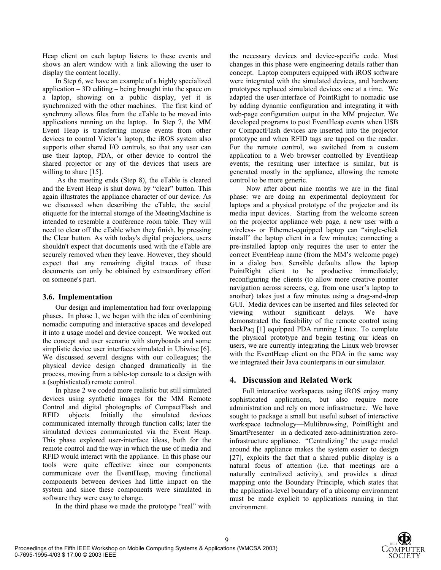Heap client on each laptop listens to these events and shows an alert window with a link allowing the user to display the content locally.

In Step 6, we have an example of a highly specialized application – 3D editing – being brought into the space on a laptop, showing on a public display, yet it is synchronized with the other machines. The first kind of synchrony allows files from the eTable to be moved into applications running on the laptop. In Step 7, the MM Event Heap is transferring mouse events from other devices to control Victor's laptop; the iROS system also supports other shared I/O controls, so that any user can use their laptop, PDA, or other device to control the shared projector or any of the devices that users are willing to share [15].

 As the meeting ends (Step 8), the eTable is cleared and the Event Heap is shut down by "clear" button. This again illustrates the appliance character of our device. As we discussed when describing the eTable, the social etiquette for the internal storage of the MeetingMachine is intended to resemble a conference room table. They will need to clear off the eTable when they finish, by pressing the Clear button. As with today's digital projectors, users shouldn't expect that documents used with the eTable are securely removed when they leave. However, they should expect that any remaining digital traces of these documents can only be obtained by extraordinary effort on someone's part.

## **3.6. Implementation**

Our design and implementation had four overlapping phases. In phase 1, we began with the idea of combining nomadic computing and interactive spaces and developed it into a usage model and device concept. We worked out the concept and user scenario with storyboards and some simplistic device user interfaces simulated in Ubiwise [6]. We discussed several designs with our colleagues; the physical device design changed dramatically in the process, moving from a table-top console to a design with a (sophisticated) remote control.

In phase 2 we coded more realistic but still simulated devices using synthetic images for the MM Remote Control and digital photographs of CompactFlash and RFID objects. Initially the simulated devices communicated internally through function calls; later the simulated devices communicated via the Event Heap. This phase explored user-interface ideas, both for the remote control and the way in which the use of media and RFID would interact with the appliance. In this phase our tools were quite effective: since our components communicate over the EventHeap, moving functional components between devices had little impact on the system and since these components were simulated in software they were easy to change.

In the third phase we made the prototype "real" with

the necessary devices and device-specific code. Most changes in this phase were engineering details rather than concept. Laptop computers equipped with iROS software were integrated with the simulated devices, and hardware prototypes replaced simulated devices one at a time. We adapted the user-interface of PointRight to nomadic use by adding dynamic configuration and integrating it with web-page configuration output in the MM projector. We developed programs to post EventHeap events when USB or CompactFlash devices are inserted into the projector prototype and when RFID tags are tapped on the reader. For the remote control, we switched from a custom application to a Web browser controlled by EventHeap events; the resulting user interface is similar, but is generated mostly in the appliance, allowing the remote control to be more generic.

 Now after about nine months we are in the final phase: we are doing an experimental deployment for laptops and a physical prototype of the projector and its media input devices. Starting from the welcome screen on the projector appliance web page, a new user with a wireless- or Ethernet-equipped laptop can "single-click install" the laptop client in a few minutes; connecting a pre-installed laptop only requires the user to enter the correct EventHeap name (from the MM's welcome page) in a dialog box. Sensible defaults allow the laptop PointRight client to be productive immediately; reconfiguring the clients (to allow more creative pointer navigation across screens, e.g. from one user's laptop to another) takes just a few minutes using a drag-and-drop GUI. Media devices can be inserted and files selected for viewing without significant delays. We have viewing without significant delays. We demonstrated the feasibility of the remote control using backPaq [1] equipped PDA running Linux. To complete the physical prototype and begin testing our ideas on users, we are currently integrating the Linux web browser with the EventHeap client on the PDA in the same way we integrated their Java counterparts in our simulator.

# **4. Discussion and Related Work**

Full interactive workspaces using iROS enjoy many sophisticated applications, but also require more administration and rely on more infrastructure. We have sought to package a small but useful subset of interactive workspace technology—Multibrowsing, PointRight and SmartPresenter—in a dedicated zero-administration zeroinfrastructure appliance. "Centralizing" the usage model around the appliance makes the system easier to design [27], exploits the fact that a shared public display is a natural focus of attention (i.e. that meetings are a naturally centralized activity), and provides a direct mapping onto the Boundary Principle, which states that the application-level boundary of a ubicomp environment must be made explicit to applications running in that environment.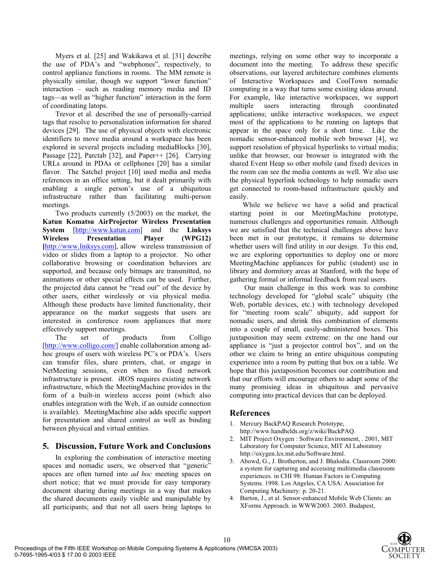Myers et al. [25] and Wakikawa et al. [31] describe the use of PDA's and "webphones", respectively, to control appliance functions in rooms. The MM remote is physically similar, though we support "lower function" interaction – such as reading memory media and ID tags—as well as "higher function" interaction in the form of coordinating latops.

Trevor et al. described the use of personally-carried tags that resolve to personalization information for shared devices [29]. The use of physical objects with electronic identifiers to move media around a workspace has been explored in several projects including mediaBlocks [30], Passage [22], Parctab [32], and Paper++ [26]. Carrying URLs around in PDAs or cellphones [20] has a similar flavor. The Satchel project [10] used media and media references in an office setting, but it dealt primarily with enabling a single person's use of a ubiquitous infrastructure rather than facilitating multi-person meetings.

Two products currently (5/2003) on the market, the **Katun Komatsu AirProjector Wireless Presentation System** [http://www.katun.com] and the **Linksys Wireless Presentation Player (WPG12) [**http://www.linksys.com], allow wireless transmission of video or slides from a laptop to a projector. No other collaborative browsing or coordination behaviors are supported, and because only bitmaps are transmitted, no animations or other special effects can be used. Further, the projected data cannot be "read out" of the device by other users, either wirelessly or via physical media. Although these products have limited functionality, their appearance on the market suggests that users are interested in conference room appliances that more effectively support meetings.

The set of products from Colligo [http://www.colligo.com/] enable collaboration among adhoc groups of users with wireless PC's or PDA's. Users can transfer files, share printers, chat, or engage in NetMeeting sessions, even when no fixed network infrastructure is present. iROS requires existing network infrastructure, which the MeetingMachine provides in the form of a built-in wireless access point (which also enables integration with the Web, if an outside connection is available). MeetingMachine also adds specific support for presentation and shared control as well as binding between physical and virtual entities.

# **5. Discussion, Future Work and Conclusions**

In exploring the combination of interactive meeting spaces and nomadic users, we observed that "generic" spaces are often turned into *ad hoc* meeting spaces on short notice; that we must provide for easy temporary document sharing during meetings in a way that makes the shared documents easily visible and manipulable by all participants; and that not all users bring laptops to meetings, relying on some other way to incorporate a document into the meeting. To address these specific observations, our layered architecture combines elements of Interactive Workspaces and CoolTown nomadic computing in a way that turns some existing ideas around. For example, like interactive workspaces, we support multiple users interacting through coordinated applications; unlike interactive workspaces, we expect most of the applications to be running on laptops that appear in the space only for a short time. Like the nomadic sensor-enhanced mobile web browser [4], we support resolution of physical hyperlinks to virtual media; unlike that browser, our browser is integrated with the shared Event Heap so other mobile (and fixed) devices in the room can see the media contents as well. We also use the physical hyperlink technology to help nomadic users get connected to room-based infrastructure quickly and easily.

While we believe we have a solid and practical starting point in our MeetingMachine prototype, numerous challenges and opportunities remain. Although we are satisfied that the technical challenges above have been met in our prototype, it remains to determine whether users will find utility in our design. To this end, we are exploring opportunities to deploy one or more MeetingMachine appliances for public (student) use in library and dormitory areas at Stanford, with the hope of gathering formal or informal feedback from real users.

 Our main challenge in this work was to combine technology developed for "global scale" ubiquity (the Web, portable devices, etc.) with technology developed for "meeting room scale" ubiquity, add support for nomadic users, and shrink this combination of elements into a couple of small, easily-administered boxes. This juxtaposition may seem extreme: on the one hand our appliance is "just a projector control box", and on the other we claim to bring an entire ubiquitous computing experience into a room by putting that box on a table. We hope that this juxtaposition becomes our contribution and that our efforts will encourage others to adapt some of the many promising ideas in ubiquitous and pervasive computing into practical devices that can be deployed.

## **References**

- 1. Mercury BackPAQ Research Prototype, http://www.handhelds.org/z/wiki/BackPAQ.
- 2. MIT Project Oxygen : Software Environment, . 2001, MIT Laboratory for Computer Science, MIT AI Laboratory http://oxygen.lcs.mit.edu/Software.html.
- 3. Abowd, G., J. Brotherton, and J. Bhalodia. Classroom 2000: a system for capturing and accessing multimedia classroom experiences. in CHI 98: Human Factors in Computing Systems. 1998. Los Angeles, CA USA: Association for Computing Machinery: p. 20-21.
- 4. Barton, J., et al. Sensor-enhanced Mobile Web Clients: an XForms Approach. in WWW2003. 2003. Budapest,